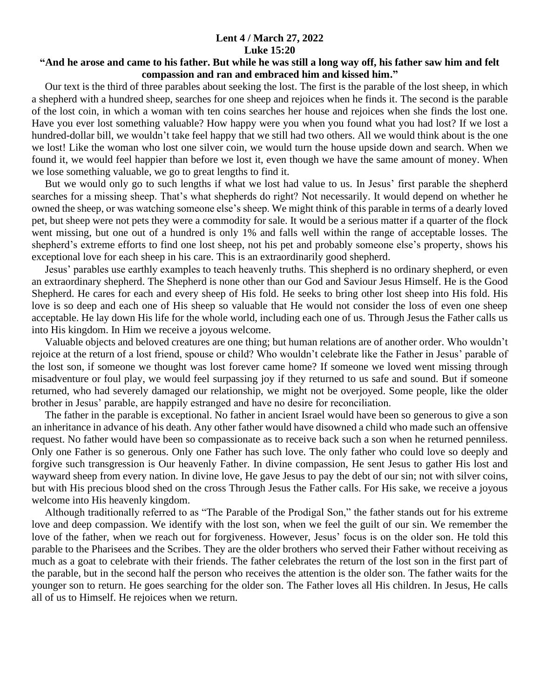## **Lent 4 / March 27, 2022 Luke 15:20**

## **"And he arose and came to his father. But while he was still a long way off, his father saw him and felt compassion and ran and embraced him and kissed him."**

 Our text is the third of three parables about seeking the lost. The first is the parable of the lost sheep, in which a shepherd with a hundred sheep, searches for one sheep and rejoices when he finds it. The second is the parable of the lost coin, in which a woman with ten coins searches her house and rejoices when she finds the lost one. Have you ever lost something valuable? How happy were you when you found what you had lost? If we lost a hundred-dollar bill, we wouldn't take feel happy that we still had two others. All we would think about is the one we lost! Like the woman who lost one silver coin, we would turn the house upside down and search. When we found it, we would feel happier than before we lost it, even though we have the same amount of money. When we lose something valuable, we go to great lengths to find it.

 But we would only go to such lengths if what we lost had value to us. In Jesus' first parable the shepherd searches for a missing sheep. That's what shepherds do right? Not necessarily. It would depend on whether he owned the sheep, or was watching someone else's sheep. We might think of this parable in terms of a dearly loved pet, but sheep were not pets they were a commodity for sale. It would be a serious matter if a quarter of the flock went missing, but one out of a hundred is only 1% and falls well within the range of acceptable losses. The shepherd's extreme efforts to find one lost sheep, not his pet and probably someone else's property, shows his exceptional love for each sheep in his care. This is an extraordinarily good shepherd.

 Jesus' parables use earthly examples to teach heavenly truths. This shepherd is no ordinary shepherd, or even an extraordinary shepherd. The Shepherd is none other than our God and Saviour Jesus Himself. He is the Good Shepherd. He cares for each and every sheep of His fold. He seeks to bring other lost sheep into His fold. His love is so deep and each one of His sheep so valuable that He would not consider the loss of even one sheep acceptable. He lay down His life for the whole world, including each one of us. Through Jesus the Father calls us into His kingdom. In Him we receive a joyous welcome.

 Valuable objects and beloved creatures are one thing; but human relations are of another order. Who wouldn't rejoice at the return of a lost friend, spouse or child? Who wouldn't celebrate like the Father in Jesus' parable of the lost son, if someone we thought was lost forever came home? If someone we loved went missing through misadventure or foul play, we would feel surpassing joy if they returned to us safe and sound. But if someone returned, who had severely damaged our relationship, we might not be overjoyed. Some people, like the older brother in Jesus' parable, are happily estranged and have no desire for reconciliation.

 The father in the parable is exceptional. No father in ancient Israel would have been so generous to give a son an inheritance in advance of his death. Any other father would have disowned a child who made such an offensive request. No father would have been so compassionate as to receive back such a son when he returned penniless. Only one Father is so generous. Only one Father has such love. The only father who could love so deeply and forgive such transgression is Our heavenly Father. In divine compassion, He sent Jesus to gather His lost and wayward sheep from every nation. In divine love, He gave Jesus to pay the debt of our sin; not with silver coins, but with His precious blood shed on the cross Through Jesus the Father calls. For His sake, we receive a joyous welcome into His heavenly kingdom.

 Although traditionally referred to as "The Parable of the Prodigal Son," the father stands out for his extreme love and deep compassion. We identify with the lost son, when we feel the guilt of our sin. We remember the love of the father, when we reach out for forgiveness. However, Jesus' focus is on the older son. He told this parable to the Pharisees and the Scribes. They are the older brothers who served their Father without receiving as much as a goat to celebrate with their friends. The father celebrates the return of the lost son in the first part of the parable, but in the second half the person who receives the attention is the older son. The father waits for the younger son to return. He goes searching for the older son. The Father loves all His children. In Jesus, He calls all of us to Himself. He rejoices when we return.